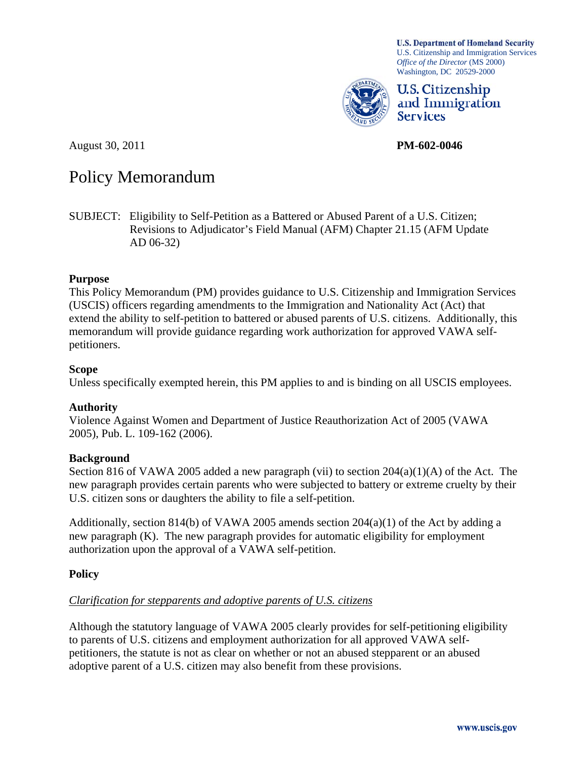*Office of the Director* (MS 2000) Washington, DC 20529-2000

**U.S. Citizenship** and Immigration **Services** 

U.S. Citizenship and Immigration Services

**U.S. Department of Homeland Security** 

August 30, 2011 **PM-602-0046** 

# Policy Memorandum

SUBJECT: Eligibility to Self-Petition as a Battered or Abused Parent of a U.S. Citizen; Revisions to Adjudicator's Field Manual (AFM) Chapter 21.15 (AFM Update AD 06-32)

### **Purpose**

This Policy Memorandum (PM) provides guidance to U.S. Citizenship and Immigration Services (USCIS) officers regarding amendments to the Immigration and Nationality Act (Act) that extend the ability to self-petition to battered or abused parents of U.S. citizens. Additionally, this memorandum will provide guidance regarding work authorization for approved VAWA selfpetitioners.

### **Scope**

Unless specifically exempted herein, this PM applies to and is binding on all USCIS employees.

### **Authority**

Violence Against Women and Department of Justice Reauthorization Act of 2005 (VAWA 2005), Pub. L. 109-162 (2006).

### **Background**

Section 816 of VAWA 2005 added a new paragraph (vii) to section  $204(a)(1)(A)$  of the Act. The new paragraph provides certain parents who were subjected to battery or extreme cruelty by their U.S. citizen sons or daughters the ability to file a self-petition.

Additionally, section 814(b) of VAWA 2005 amends section  $204(a)(1)$  of the Act by adding a new paragraph (K). The new paragraph provides for automatic eligibility for employment authorization upon the approval of a VAWA self-petition.

## **Policy**

# *Clarification for stepparents and adoptive parents of U.S. citizens*

Although the statutory language of VAWA 2005 clearly provides for self-petitioning eligibility to parents of U.S. citizens and employment authorization for all approved VAWA selfpetitioners, the statute is not as clear on whether or not an abused stepparent or an abused adoptive parent of a U.S. citizen may also benefit from these provisions.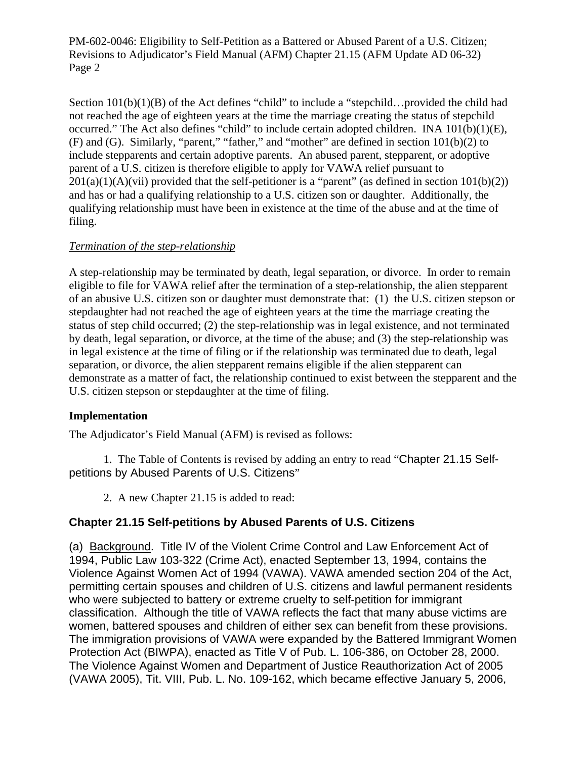Section  $101(b)(1)(B)$  of the Act defines "child" to include a "stepchild...provided the child had not reached the age of eighteen years at the time the marriage creating the status of stepchild occurred." The Act also defines "child" to include certain adopted children. INA 101(b)(1)(E), (F) and (G). Similarly, "parent," "father," and "mother" are defined in section  $101(b)(2)$  to include stepparents and certain adoptive parents. An abused parent, stepparent, or adoptive parent of a U.S. citizen is therefore eligible to apply for VAWA relief pursuant to  $201(a)(1)(A)(vii)$  provided that the self-petitioner is a "parent" (as defined in section  $101(b)(2)$ ) and has or had a qualifying relationship to a U.S. citizen son or daughter. Additionally, the qualifying relationship must have been in existence at the time of the abuse and at the time of filing.

### *Termination of the step-relationship*

A step-relationship may be terminated by death, legal separation, or divorce. In order to remain eligible to file for VAWA relief after the termination of a step-relationship, the alien stepparent of an abusive U.S. citizen son or daughter must demonstrate that: (1) the U.S. citizen stepson or stepdaughter had not reached the age of eighteen years at the time the marriage creating the status of step child occurred; (2) the step-relationship was in legal existence, and not terminated by death, legal separation, or divorce, at the time of the abuse; and (3) the step-relationship was in legal existence at the time of filing or if the relationship was terminated due to death, legal separation, or divorce, the alien stepparent remains eligible if the alien stepparent can demonstrate as a matter of fact, the relationship continued to exist between the stepparent and the U.S. citizen stepson or stepdaughter at the time of filing.

### **Implementation**

The Adjudicator's Field Manual (AFM) is revised as follows:

 1. The Table of Contents is revised by adding an entry to read "Chapter 21.15 Selfpetitions by Abused Parents of U.S. Citizens"

2. A new Chapter 21.15 is added to read:

### **Chapter 21.15 Self-petitions by Abused Parents of U.S. Citizens**

(a) Background. Title IV of the Violent Crime Control and Law Enforcement Act of 1994, Public Law 103-322 (Crime Act), enacted September 13, 1994, contains the Violence Against Women Act of 1994 (VAWA). VAWA amended section 204 of the Act, permitting certain spouses and children of U.S. citizens and lawful permanent residents who were subjected to battery or extreme cruelty to self-petition for immigrant classification. Although the title of VAWA reflects the fact that many abuse victims are women, battered spouses and children of either sex can benefit from these provisions. The immigration provisions of VAWA were expanded by the Battered Immigrant Women Protection Act (BIWPA), enacted as Title V of Pub. L. 106-386, on October 28, 2000. The Violence Against Women and Department of Justice Reauthorization Act of 2005 (VAWA 2005), Tit. VIII, Pub. L. No. 109-162, which became effective January 5, 2006,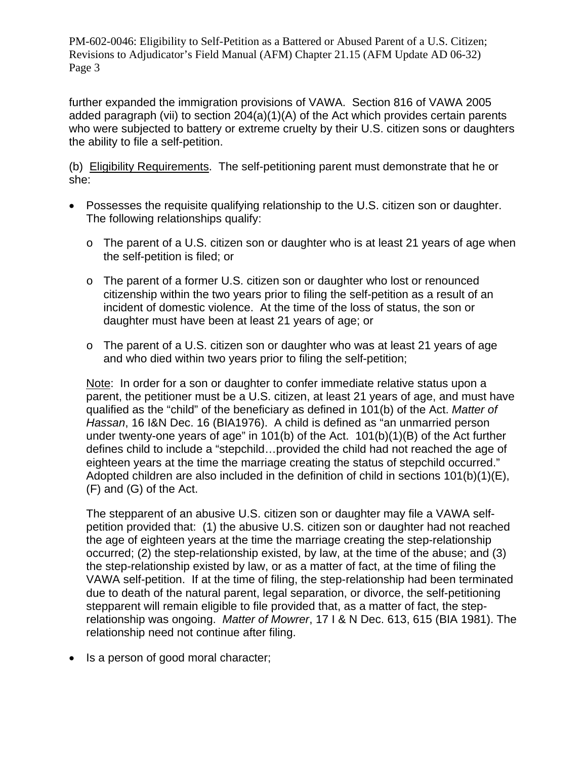further expanded the immigration provisions of VAWA. Section 816 of VAWA 2005 added paragraph (vii) to section 204(a)(1)(A) of the Act which provides certain parents who were subjected to battery or extreme cruelty by their U.S. citizen sons or daughters the ability to file a self-petition.

(b) Eligibility Requirements. The self-petitioning parent must demonstrate that he or she:

- Possesses the requisite qualifying relationship to the U.S. citizen son or daughter. The following relationships qualify:
	- o The parent of a U.S. citizen son or daughter who is at least 21 years of age when the self-petition is filed; or
	- o The parent of a former U.S. citizen son or daughter who lost or renounced citizenship within the two years prior to filing the self-petition as a result of an incident of domestic violence. At the time of the loss of status, the son or daughter must have been at least 21 years of age; or
	- $\circ$  The parent of a U.S. citizen son or daughter who was at least 21 years of age and who died within two years prior to filing the self-petition;

Note: In order for a son or daughter to confer immediate relative status upon a parent, the petitioner must be a U.S. citizen, at least 21 years of age, and must have qualified as the "child" of the beneficiary as defined in 101(b) of the Act. *Matter of Hassan*, 16 I&N Dec. 16 (BIA1976). A child is defined as "an unmarried person under twenty-one years of age" in 101(b) of the Act. 101(b)(1)(B) of the Act further defines child to include a "stepchild…provided the child had not reached the age of eighteen years at the time the marriage creating the status of stepchild occurred." Adopted children are also included in the definition of child in sections 101(b)(1)(E), (F) and (G) of the Act.

The stepparent of an abusive U.S. citizen son or daughter may file a VAWA selfpetition provided that: (1) the abusive U.S. citizen son or daughter had not reached the age of eighteen years at the time the marriage creating the step-relationship occurred; (2) the step-relationship existed, by law, at the time of the abuse; and (3) the step-relationship existed by law, or as a matter of fact, at the time of filing the VAWA self-petition. If at the time of filing, the step-relationship had been terminated due to death of the natural parent, legal separation, or divorce, the self-petitioning stepparent will remain eligible to file provided that, as a matter of fact, the steprelationship was ongoing. *Matter of Mowrer*, 17 I & N Dec. 613, 615 (BIA 1981). The relationship need not continue after filing.

• Is a person of good moral character;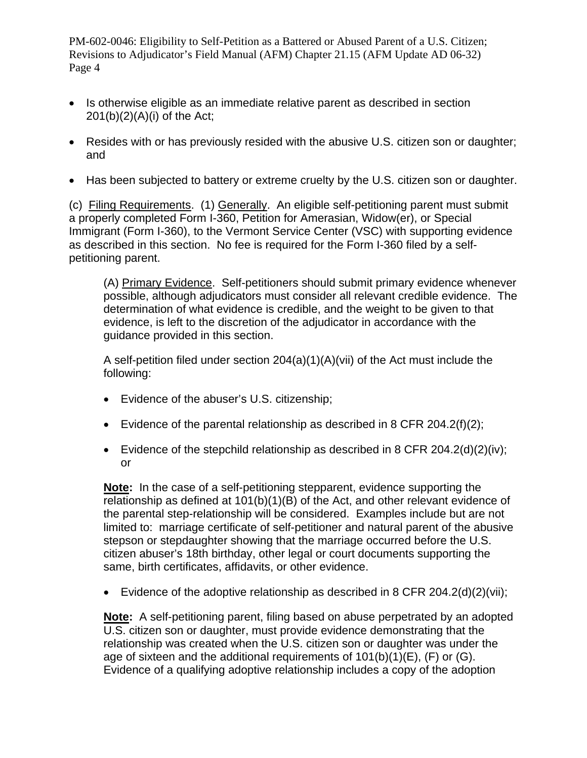- Is otherwise eligible as an immediate relative parent as described in section 201(b)(2)(A)(i) of the Act;
- Resides with or has previously resided with the abusive U.S. citizen son or daughter; and
- Has been subjected to battery or extreme cruelty by the U.S. citizen son or daughter.

(c) Filing Requirements. (1) Generally. An eligible self-petitioning parent must submit a properly completed Form I-360, Petition for Amerasian, Widow(er), or Special Immigrant (Form I-360), to the Vermont Service Center (VSC) with supporting evidence as described in this section. No fee is required for the Form I-360 filed by a selfpetitioning parent.

(A) Primary Evidence. Self-petitioners should submit primary evidence whenever possible, although adjudicators must consider all relevant credible evidence. The determination of what evidence is credible, and the weight to be given to that evidence, is left to the discretion of the adjudicator in accordance with the guidance provided in this section.

A self-petition filed under section 204(a)(1)(A)(vii) of the Act must include the following:

- Evidence of the abuser's U.S. citizenship;
- Evidence of the parental relationship as described in 8 CFR 204.2(f)(2);
- Evidence of the stepchild relationship as described in 8 CFR 204.2(d)(2)(iv); or

**Note:** In the case of a self-petitioning stepparent, evidence supporting the relationship as defined at 101(b)(1)(B) of the Act, and other relevant evidence of the parental step-relationship will be considered. Examples include but are not limited to: marriage certificate of self-petitioner and natural parent of the abusive stepson or stepdaughter showing that the marriage occurred before the U.S. citizen abuser's 18th birthday, other legal or court documents supporting the same, birth certificates, affidavits, or other evidence.

Evidence of the adoptive relationship as described in 8 CFR 204.2(d)(2)(vii);

**Note:** A self-petitioning parent, filing based on abuse perpetrated by an adopted U.S. citizen son or daughter, must provide evidence demonstrating that the relationship was created when the U.S. citizen son or daughter was under the age of sixteen and the additional requirements of 101(b)(1)(E), (F) or (G). Evidence of a qualifying adoptive relationship includes a copy of the adoption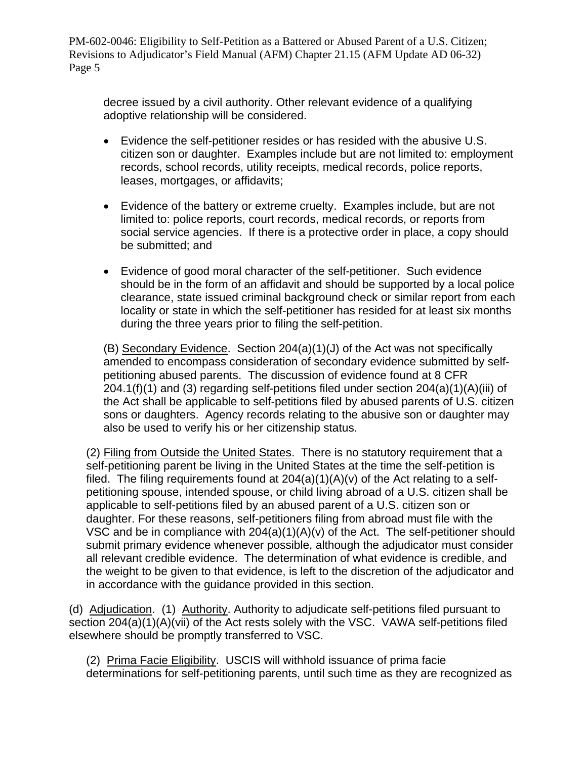decree issued by a civil authority. Other relevant evidence of a qualifying adoptive relationship will be considered.

- Evidence the self-petitioner resides or has resided with the abusive U.S. citizen son or daughter. Examples include but are not limited to: employment records, school records, utility receipts, medical records, police reports, leases, mortgages, or affidavits;
- Evidence of the battery or extreme cruelty. Examples include, but are not limited to: police reports, court records, medical records, or reports from social service agencies. If there is a protective order in place, a copy should be submitted; and
- Evidence of good moral character of the self-petitioner. Such evidence should be in the form of an affidavit and should be supported by a local police clearance, state issued criminal background check or similar report from each locality or state in which the self-petitioner has resided for at least six months during the three years prior to filing the self-petition.

(B) Secondary Evidence. Section 204(a)(1)(J) of the Act was not specifically amended to encompass consideration of secondary evidence submitted by selfpetitioning abused parents. The discussion of evidence found at 8 CFR  $204.1(f)(1)$  and (3) regarding self-petitions filed under section  $204(a)(1)(A)(iii)$  of the Act shall be applicable to self-petitions filed by abused parents of U.S. citizen sons or daughters. Agency records relating to the abusive son or daughter may also be used to verify his or her citizenship status.

(2) Filing from Outside the United States. There is no statutory requirement that a self-petitioning parent be living in the United States at the time the self-petition is filed. The filing requirements found at  $204(a)(1)(A)(v)$  of the Act relating to a selfpetitioning spouse, intended spouse, or child living abroad of a U.S. citizen shall be applicable to self-petitions filed by an abused parent of a U.S. citizen son or daughter. For these reasons, self-petitioners filing from abroad must file with the VSC and be in compliance with 204(a)(1)(A)(v) of the Act. The self-petitioner should submit primary evidence whenever possible, although the adjudicator must consider all relevant credible evidence. The determination of what evidence is credible, and the weight to be given to that evidence, is left to the discretion of the adjudicator and in accordance with the guidance provided in this section.

(d) Adjudication. (1) Authority. Authority to adjudicate self-petitions filed pursuant to section 204(a)(1)(A)(vii) of the Act rests solely with the VSC. VAWA self-petitions filed elsewhere should be promptly transferred to VSC.

(2) Prima Facie Eligibility. USCIS will withhold issuance of prima facie determinations for self-petitioning parents, until such time as they are recognized as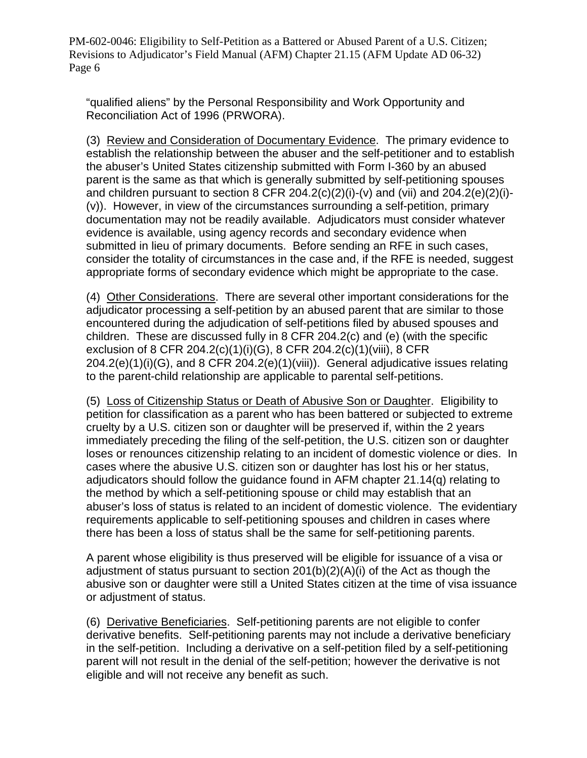"qualified aliens" by the Personal Responsibility and Work Opportunity and Reconciliation Act of 1996 (PRWORA).

(3) Review and Consideration of Documentary Evidence. The primary evidence to establish the relationship between the abuser and the self-petitioner and to establish the abuser's United States citizenship submitted with Form I-360 by an abused parent is the same as that which is generally submitted by self-petitioning spouses and children pursuant to section 8 CFR 204.2(c)(2)(i)-(v) and (vii) and 204.2(e)(2)(i)-(v)). However, in view of the circumstances surrounding a self-petition, primary documentation may not be readily available. Adjudicators must consider whatever evidence is available, using agency records and secondary evidence when submitted in lieu of primary documents. Before sending an RFE in such cases, consider the totality of circumstances in the case and, if the RFE is needed, suggest appropriate forms of secondary evidence which might be appropriate to the case.

(4) Other Considerations. There are several other important considerations for the adjudicator processing a self-petition by an abused parent that are similar to those encountered during the adjudication of self-petitions filed by abused spouses and children. These are discussed fully in 8 CFR 204.2(c) and (e) (with the specific exclusion of 8 CFR 204.2(c)(1)(i)(G), 8 CFR 204.2(c)(1)(viii), 8 CFR 204.2(e)(1)(i)(G), and 8 CFR 204.2(e)(1)(viii)). General adjudicative issues relating to the parent-child relationship are applicable to parental self-petitions.

(5) Loss of Citizenship Status or Death of Abusive Son or Daughter. Eligibility to petition for classification as a parent who has been battered or subjected to extreme cruelty by a U.S. citizen son or daughter will be preserved if, within the 2 years immediately preceding the filing of the self-petition, the U.S. citizen son or daughter loses or renounces citizenship relating to an incident of domestic violence or dies. In cases where the abusive U.S. citizen son or daughter has lost his or her status, adjudicators should follow the guidance found in AFM chapter 21.14(q) relating to the method by which a self-petitioning spouse or child may establish that an abuser's loss of status is related to an incident of domestic violence. The evidentiary requirements applicable to self-petitioning spouses and children in cases where there has been a loss of status shall be the same for self-petitioning parents.

A parent whose eligibility is thus preserved will be eligible for issuance of a visa or adjustment of status pursuant to section 201(b)(2)(A)(i) of the Act as though the abusive son or daughter were still a United States citizen at the time of visa issuance or adjustment of status.

(6) Derivative Beneficiaries. Self-petitioning parents are not eligible to confer derivative benefits. Self-petitioning parents may not include a derivative beneficiary in the self-petition. Including a derivative on a self-petition filed by a self-petitioning parent will not result in the denial of the self-petition; however the derivative is not eligible and will not receive any benefit as such.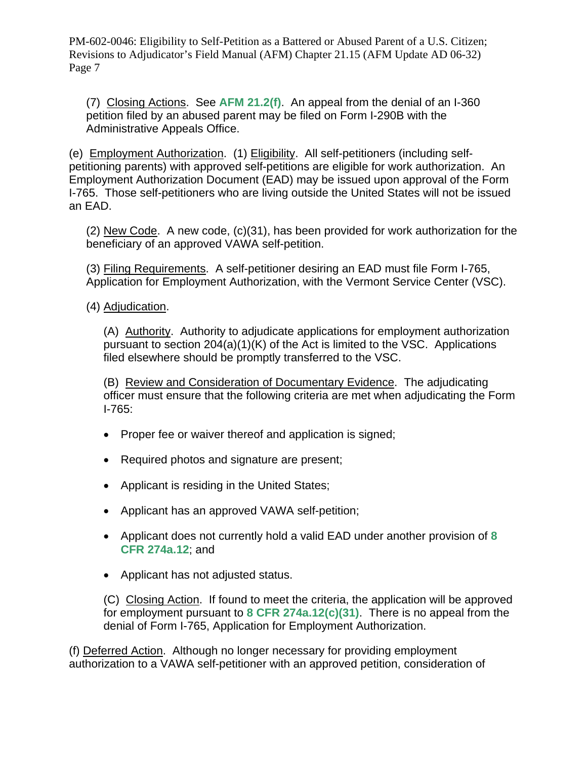(7) Closing Actions. See **AFM 21.2(f)**. An appeal from the denial of an I-360 petition filed by an abused parent may be filed on Form I-290B with the Administrative Appeals Office.

(e) Employment Authorization. (1) Eligibility. All self-petitioners (including selfpetitioning parents) with approved self-petitions are eligible for work authorization. An Employment Authorization Document (EAD) may be issued upon approval of the Form I-765. Those self-petitioners who are living outside the United States will not be issued an EAD.

 $(2)$  New Code. A new code,  $(c)(31)$ , has been provided for work authorization for the beneficiary of an approved VAWA self-petition.

(3) Filing Requirements. A self-petitioner desiring an EAD must file Form I-765, Application for Employment Authorization, with the Vermont Service Center (VSC).

(4) Adjudication.

(A) Authority. Authority to adjudicate applications for employment authorization pursuant to section 204(a)(1)(K) of the Act is limited to the VSC. Applications filed elsewhere should be promptly transferred to the VSC.

(B) Review and Consideration of Documentary Evidence. The adjudicating officer must ensure that the following criteria are met when adjudicating the Form I-765:

- Proper fee or waiver thereof and application is signed;
- Required photos and signature are present;
- Applicant is residing in the United States;
- Applicant has an approved VAWA self-petition;
- Applicant does not currently hold a valid EAD under another provision of **8 CFR 274a.12**; and
- Applicant has not adjusted status.

(C) Closing Action. If found to meet the criteria, the application will be approved for employment pursuant to **8 CFR 274a.12(c)(31)**. There is no appeal from the denial of Form I-765, Application for Employment Authorization.

(f) Deferred Action. Although no longer necessary for providing employment authorization to a VAWA self-petitioner with an approved petition, consideration of